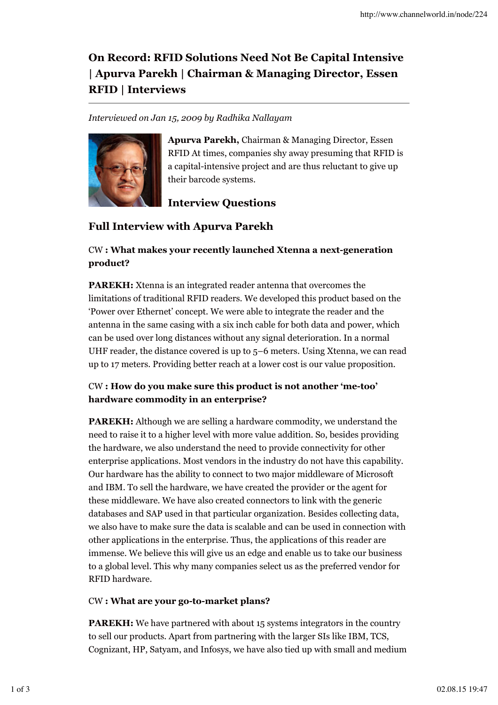# **On Record: RFID Solutions Need Not Be Capital Intensive | Apurva Parekh | Chairman & Managing Director, Essen RFID | Interviews**

### *Interviewed on Jan 15, 2009 by Radhika Nallayam*



**Apurva Parekh,** Chairman & Managing Director, Essen RFID At times, companies shy away presuming that RFID is a capital-intensive project and are thus reluctant to give up their barcode systems.

# **Interview Questions**

## **Full Interview with Apurva Parekh**

### CW **: What makes your recently launched Xtenna a next-generation product?**

**PAREKH:** Xtenna is an integrated reader antenna that overcomes the limitations of traditional RFID readers. We developed this product based on the 'Power over Ethernet' concept. We were able to integrate the reader and the antenna in the same casing with a six inch cable for both data and power, which can be used over long distances without any signal deterioration. In a normal UHF reader, the distance covered is up to 5–6 meters. Using Xtenna, we can read up to 17 meters. Providing better reach at a lower cost is our value proposition.

### CW **: How do you make sure this product is not another 'me-too' hardware commodity in an enterprise?**

**PAREKH:** Although we are selling a hardware commodity, we understand the need to raise it to a higher level with more value addition. So, besides providing the hardware, we also understand the need to provide connectivity for other enterprise applications. Most vendors in the industry do not have this capability. Our hardware has the ability to connect to two major middleware of Microsoft and IBM. To sell the hardware, we have created the provider or the agent for these middleware. We have also created connectors to link with the generic databases and SAP used in that particular organization. Besides collecting data, we also have to make sure the data is scalable and can be used in connection with other applications in the enterprise. Thus, the applications of this reader are immense. We believe this will give us an edge and enable us to take our business to a global level. This why many companies select us as the preferred vendor for RFID hardware.

### CW **: What are your go-to-market plans?**

**PAREKH:** We have partnered with about 15 systems integrators in the country to sell our products. Apart from partnering with the larger SIs like IBM, TCS, Cognizant, HP, Satyam, and Infosys, we have also tied up with small and medium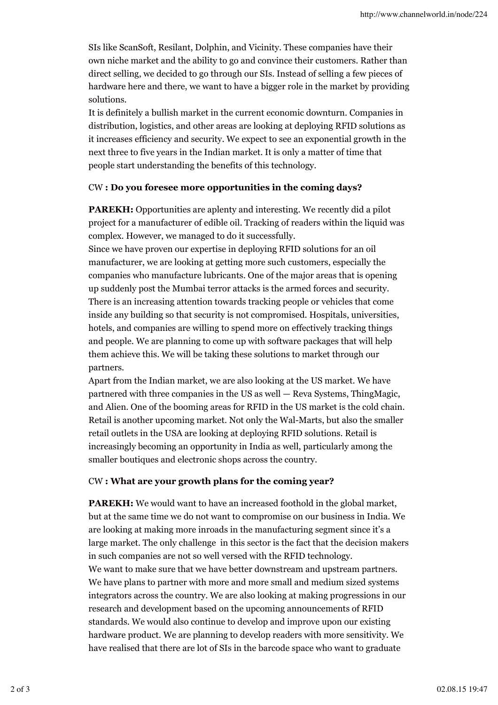SIs like ScanSoft, Resilant, Dolphin, and Vicinity. These companies have their own niche market and the ability to go and convince their customers. Rather than direct selling, we decided to go through our SIs. Instead of selling a few pieces of hardware here and there, we want to have a bigger role in the market by providing solutions.

It is definitely a bullish market in the current economic downturn. Companies in distribution, logistics, and other areas are looking at deploying RFID solutions as it increases efficiency and security. We expect to see an exponential growth in the next three to five years in the Indian market. It is only a matter of time that people start understanding the benefits of this technology.

#### CW **: Do you foresee more opportunities in the coming days?**

**PAREKH:** Opportunities are aplenty and interesting. We recently did a pilot project for a manufacturer of edible oil. Tracking of readers within the liquid was complex. However, we managed to do it successfully.

Since we have proven our expertise in deploying RFID solutions for an oil manufacturer, we are looking at getting more such customers, especially the companies who manufacture lubricants. One of the major areas that is opening up suddenly post the Mumbai terror attacks is the armed forces and security. There is an increasing attention towards tracking people or vehicles that come inside any building so that security is not compromised. Hospitals, universities, hotels, and companies are willing to spend more on effectively tracking things and people. We are planning to come up with software packages that will help them achieve this. We will be taking these solutions to market through our partners.

Apart from the Indian market, we are also looking at the US market. We have partnered with three companies in the US as well — Reva Systems, ThingMagic, and Alien. One of the booming areas for RFID in the US market is the cold chain. Retail is another upcoming market. Not only the Wal-Marts, but also the smaller retail outlets in the USA are looking at deploying RFID solutions. Retail is increasingly becoming an opportunity in India as well, particularly among the smaller boutiques and electronic shops across the country.

#### CW **: What are your growth plans for the coming year?**

**PAREKH:** We would want to have an increased foothold in the global market, but at the same time we do not want to compromise on our business in India. We are looking at making more inroads in the manufacturing segment since it's a large market. The only challenge in this sector is the fact that the decision makers in such companies are not so well versed with the RFID technology. We want to make sure that we have better downstream and upstream partners. We have plans to partner with more and more small and medium sized systems integrators across the country. We are also looking at making progressions in our research and development based on the upcoming announcements of RFID standards. We would also continue to develop and improve upon our existing hardware product. We are planning to develop readers with more sensitivity. We have realised that there are lot of SIs in the barcode space who want to graduate